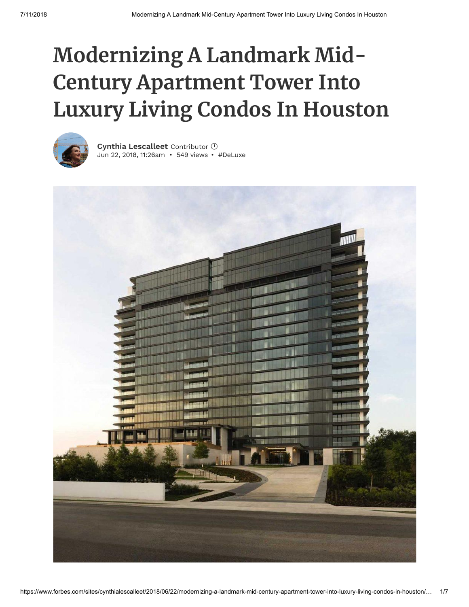# **Modernizing A Landmark Mid-Century Apartment Tower Into Luxury Living Condos In Houston**



Jun 22, 2018, 11:26am • 549 views • [#DeLuxe](https://www.forbes.com/search/?substream=hashtags&q=DeLuxe) **Cynthia [Lescalleet](https://www.forbes.com/sites/cynthialescalleet/)** Contributor **i**

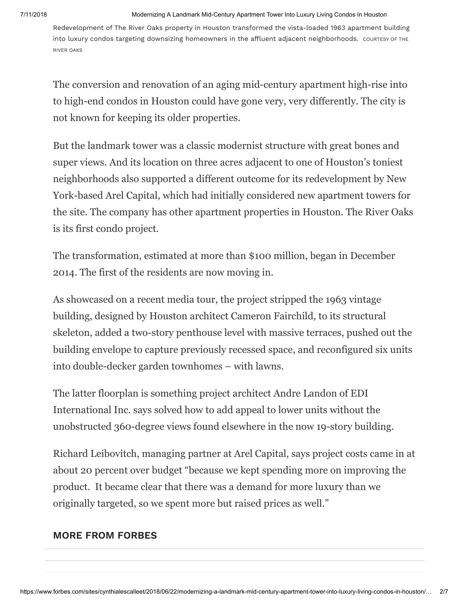#### 7/11/2018 Modernizing A Landmark Mid-Century Apartment Tower Into Luxury Living Condos In Houston

Redevelopment of The River Oaks property in Houston transformed the vista-loaded 1963 apartment building into luxury condos targeting downsizing homeowners in the affluent adjacent neighborhoods. COURTESY OF THE RIVER OAKS

The conversion and renovation of an aging mid-century apartment high-rise into to high-end condos in Houston could have gone very, very differently. The city is not known for keeping its older properties.

But the landmark tower was a classic modernist structure with great bones and super views. And its location on three acres adjacent to one of Houston's toniest neighborhoods also supported a different outcome for its redevelopment by New York-based Arel Capital, which had initially considered new apartment towers for the site. The company has other apartment properties in Houston. The River Oaks is its first condo project.

The transformation, estimated at more than \$100 million, began in December 2014. The first of the residents are now moving in.

As showcased on a recent media tour, the project stripped the 1963 vintage building, designed by Houston architect Cameron Fairchild, to its structural skeleton, added a two-story penthouse level with massive terraces, pushed out the building envelope to capture previously recessed space, and reconfigured six units into double-decker garden townhomes – with lawns.

The latter floorplan is something project architect Andre Landon of EDI International Inc. says solved how to add appeal to lower units without the unobstructed 360-degree views found elsewhere in the now 19-story building.

Richard Leibovitch, managing partner at Arel Capital, says project costs came in at about 20 percent over budget "because we kept spending more on improving the product. It became clear that there was a demand for more luxury than we originally targeted, so we spent more but raised prices as well."

### **MORE FROM FORBES**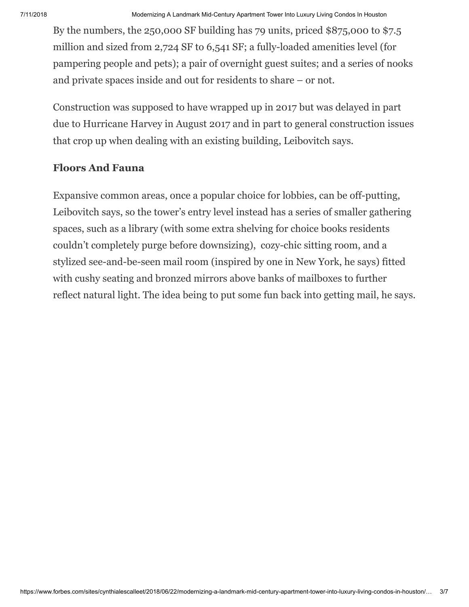By the numbers, the 250,000 SF building has 79 units, priced \$875,000 to \$7.5 million and sized from 2,724 SF to 6,541 SF; a fully-loaded amenities level (for pampering people and pets); a pair of overnight guest suites; and a series of nooks and private spaces inside and out for residents to share – or not.

Construction was supposed to have wrapped up in 2017 but was delayed in part due to Hurricane Harvey in August 2017 and in part to general construction issues that crop up when dealing with an existing building, Leibovitch says.

# **Floors And Fauna**

Expansive common areas, once a popular choice for lobbies, can be off-putting, Leibovitch says, so the tower's entry level instead has a series of smaller gathering spaces, such as a library (with some extra shelving for choice books residents couldn't completely purge before downsizing), cozy-chic sitting room, and a stylized see-and-be-seen mail room (inspired by one in New York, he says) fitted with cushy seating and bronzed mirrors above banks of mailboxes to further reflect natural light. The idea being to put some fun back into getting mail, he says.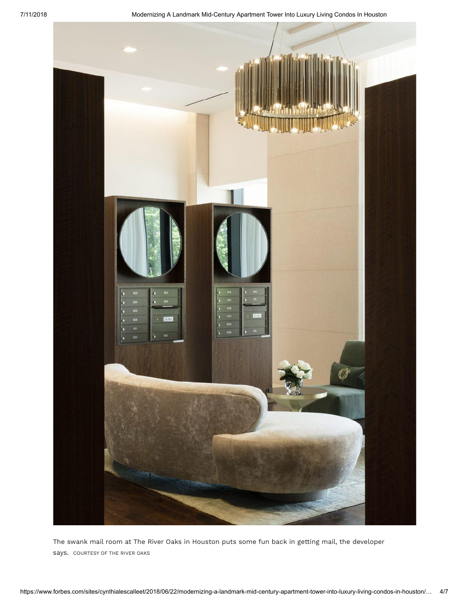

The swank mail room at The River Oaks in Houston puts some fun back in getting mail, the developer says. COURTESY OF THE RIVER OAKS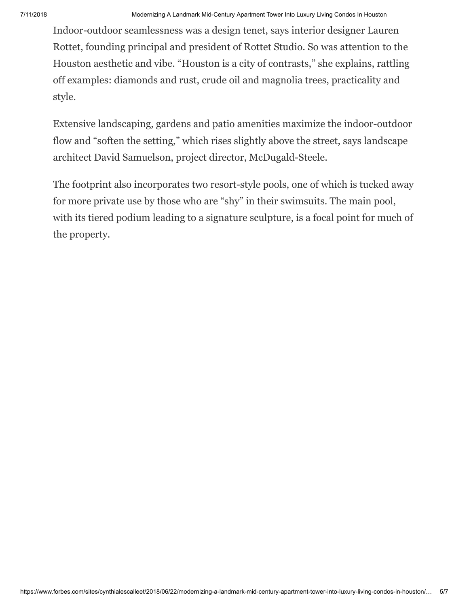Indoor-outdoor seamlessness was a design tenet, says interior designer Lauren Rottet, founding principal and president of Rottet Studio. So was attention to the Houston aesthetic and vibe. "Houston is a city of contrasts," she explains, rattling off examples: diamonds and rust, crude oil and magnolia trees, practicality and style.

Extensive landscaping, gardens and patio amenities maximize the indoor-outdoor flow and "soften the setting," which rises slightly above the street, says landscape architect David Samuelson, project director, McDugald-Steele.

The footprint also incorporates two resort-style pools, one of which is tucked away for more private use by those who are "shy" in their swimsuits. The main pool, with its tiered podium leading to a signature sculpture, is a focal point for much of the property.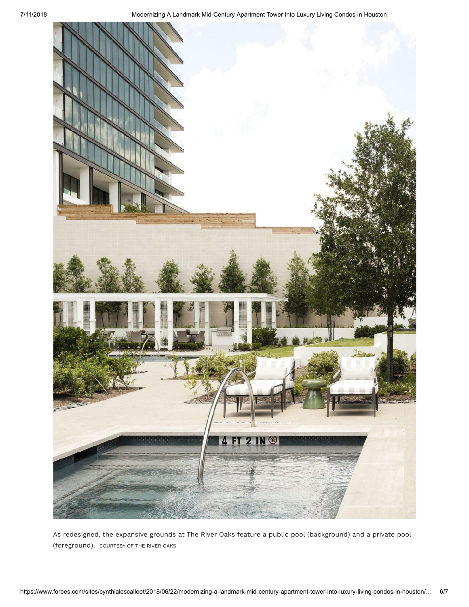

As redesigned, the expansive grounds at The River Oaks feature a public pool (background) and a private pool (foreground). COURTESY OF THE RIVER OAKS